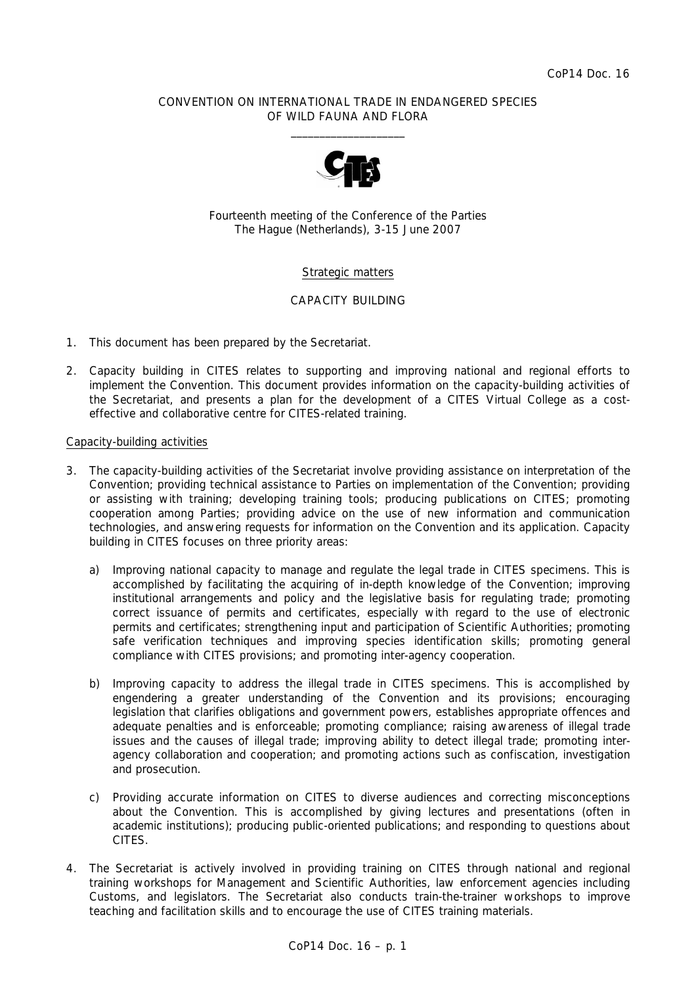### CONVENTION ON INTERNATIONAL TRADE IN ENDANGERED SPECIES OF WILD FAUNA AND FLORA  $\overline{\phantom{a}}$  , and the set of the set of the set of the set of the set of the set of the set of the set of the set of the set of the set of the set of the set of the set of the set of the set of the set of the set of the s



Fourteenth meeting of the Conference of the Parties The Hague (Netherlands), 3-15 June 2007

# Strategic matters

# CAPACITY BUILDING

- 1. This document has been prepared by the Secretariat.
- 2. Capacity building in CITES relates to supporting and improving national and regional efforts to implement the Convention. This document provides information on the capacity-building activities of the Secretariat, and presents a plan for the development of a CITES Virtual College as a costeffective and collaborative centre for CITES-related training.

# Capacity-building activities

- 3. The capacity-building activities of the Secretariat involve providing assistance on interpretation of the Convention; providing technical assistance to Parties on implementation of the Convention; providing or assisting with training; developing training tools; producing publications on CITES; promoting cooperation among Parties; providing advice on the use of new information and communication technologies, and answering requests for information on the Convention and its application. Capacity building in CITES focuses on three priority areas:
	- a) *Improving national capacity to manage and regulate the legal trade in CITES specimens.* This is accomplished by facilitating the acquiring of in-depth knowledge of the Convention; improving institutional arrangements and policy and the legislative basis for regulating trade; promoting correct issuance of permits and certificates, especially with regard to the use of electronic permits and certificates; strengthening input and participation of Scientific Authorities; promoting safe verification techniques and improving species identification skills; promoting general compliance with CITES provisions; and promoting inter-agency cooperation.
	- b) *Improving capacity to address the illegal trade in CITES specimens.* This is accomplished by engendering a greater understanding of the Convention and its provisions; encouraging legislation that clarifies obligations and government powers, establishes appropriate offences and adequate penalties and is enforceable; promoting compliance; raising awareness of illegal trade issues and the causes of illegal trade; improving ability to detect illegal trade; promoting interagency collaboration and cooperation; and promoting actions such as confiscation, investigation and prosecution.
	- c) *Providing accurate information on CITES to diverse audiences and correcting misconceptions about the Convention.* This is accomplished by giving lectures and presentations (often in academic institutions); producing public-oriented publications; and responding to questions about CITES.
- 4. The Secretariat is actively involved in providing training on CITES through national and regional training workshops for Management and Scientific Authorities, law enforcement agencies including Customs, and legislators. The Secretariat also conducts train-the-trainer workshops to improve teaching and facilitation skills and to encourage the use of CITES training materials.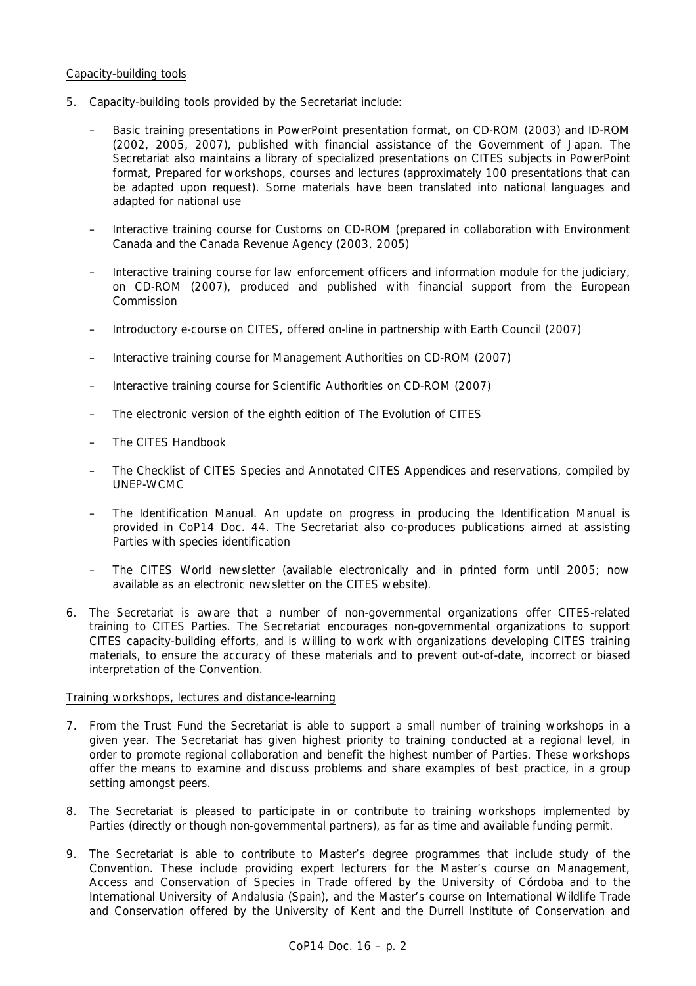# Capacity-building tools

- 5. Capacity-building tools provided by the Secretariat include:
	- Basic training presentations in PowerPoint presentation format, on CD-ROM (2003) and ID-ROM (2002, 2005, 2007), published with financial assistance of the Government of Japan. The Secretariat also maintains a library of specialized presentations on CITES subjects in PowerPoint format, Prepared for workshops, courses and lectures (approximately 100 presentations that can be adapted upon request). Some materials have been translated into national languages and adapted for national use
	- Interactive training course for Customs on CD-ROM (prepared in collaboration with Environment Canada and the Canada Revenue Agency (2003, 2005)
	- Interactive training course for law enforcement officers and information module for the judiciary, on CD-ROM (2007), produced and published with financial support from the European Commission
	- Introductory e-course on CITES, offered on-line in partnership with Earth Council (2007)
	- Interactive training course for Management Authorities on CD-ROM (2007)
	- Interactive training course for Scientific Authorities on CD-ROM (2007)
	- The electronic version of the eighth edition of *The Evolution of CITES*
	- The *CITES Handbook*
	- The *Checklist of CITES Species* and *Annotated CITES Appendices and reservations*, compiled by UNEP-WCMC
	- The Identification Manual. An update on progress in producing the Identification Manual is provided in CoP14 Doc. 44. The Secretariat also co-produces publications aimed at assisting Parties with species identification
	- The *CITES World* newsletter (available electronically and in printed form until 2005; now available as an electronic newsletter on the CITES website).
- 6. The Secretariat is aware that a number of non-governmental organizations offer CITES-related training to CITES Parties. The Secretariat encourages non-governmental organizations to support CITES capacity-building efforts, and is willing to work with organizations developing CITES training materials, to ensure the accuracy of these materials and to prevent out-of-date, incorrect or biased interpretation of the Convention.

# Training workshops, lectures and distance-learning

- 7. From the Trust Fund the Secretariat is able to support a small number of training workshops in a given year. The Secretariat has given highest priority to training conducted at a regional level, in order to promote regional collaboration and benefit the highest number of Parties. These workshops offer the means to examine and discuss problems and share examples of best practice, in a group setting amongst peers.
- 8. The Secretariat is pleased to participate in or contribute to training workshops implemented by Parties (directly or though non-governmental partners), as far as time and available funding permit.
- 9. The Secretariat is able to contribute to Master's degree programmes that include study of the Convention. These include providing expert lecturers for the Master's course on Management, Access and Conservation of Species in Trade offered by the University of Córdoba and to the International University of Andalusia (Spain), and the Master's course on International Wildlife Trade and Conservation offered by the University of Kent and the Durrell Institute of Conservation and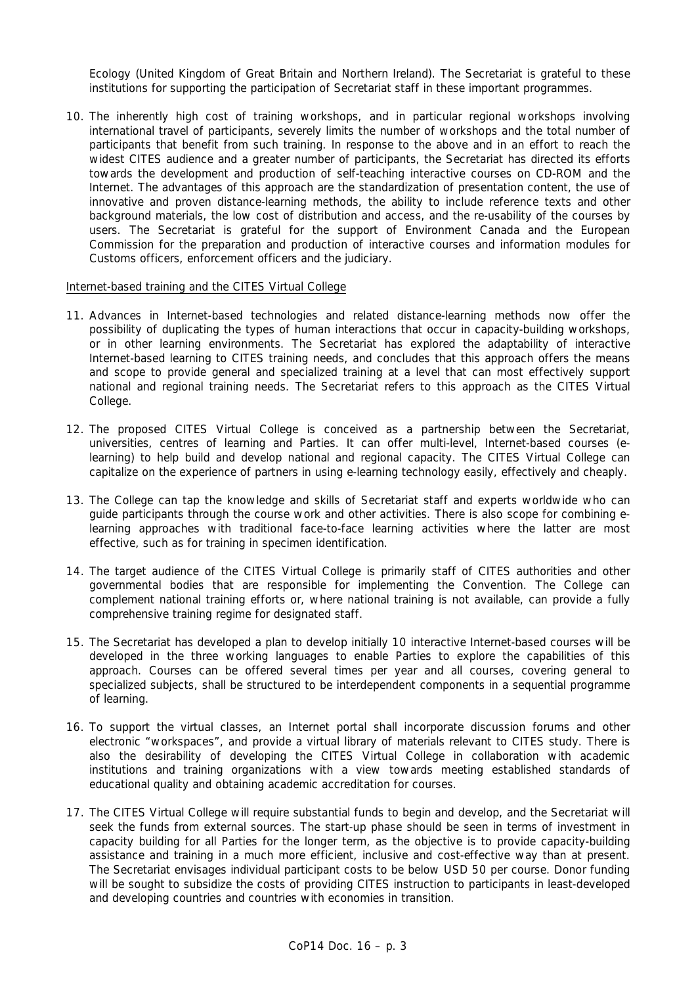Ecology (United Kingdom of Great Britain and Northern Ireland). The Secretariat is grateful to these institutions for supporting the participation of Secretariat staff in these important programmes.

10. The inherently high cost of training workshops, and in particular regional workshops involving international travel of participants, severely limits the number of workshops and the total number of participants that benefit from such training. In response to the above and in an effort to reach the widest CITES audience and a greater number of participants, the Secretariat has directed its efforts towards the development and production of self-teaching interactive courses on CD-ROM and the Internet. The advantages of this approach are the standardization of presentation content, the use of innovative and proven distance-learning methods, the ability to include reference texts and other background materials, the low cost of distribution and access, and the re-usability of the courses by users. The Secretariat is grateful for the support of Environment Canada and the European Commission for the preparation and production of interactive courses and information modules for Customs officers, enforcement officers and the judiciary.

## Internet-based training and the CITES Virtual College

- 11. Advances in Internet-based technologies and related distance-learning methods now offer the possibility of duplicating the types of human interactions that occur in capacity-building workshops, or in other learning environments. The Secretariat has explored the adaptability of interactive Internet-based learning to CITES training needs, and concludes that this approach offers the means and scope to provide general and specialized training at a level that can most effectively support national and regional training needs. The Secretariat refers to this approach as the CITES Virtual College.
- 12. The proposed CITES Virtual College is conceived as a partnership between the Secretariat, universities, centres of learning and Parties. It can offer multi-level, Internet-based courses (elearning) to help build and develop national and regional capacity. The CITES Virtual College can capitalize on the experience of partners in using e-learning technology easily, effectively and cheaply.
- 13. The College can tap the knowledge and skills of Secretariat staff and experts worldwide who can guide participants through the course work and other activities. There is also scope for combining elearning approaches with traditional face-to-face learning activities where the latter are most effective, such as for training in specimen identification.
- 14. The target audience of the CITES Virtual College is primarily staff of CITES authorities and other governmental bodies that are responsible for implementing the Convention. The College can complement national training efforts or, where national training is not available, can provide a fully comprehensive training regime for designated staff.
- 15. The Secretariat has developed a plan to develop initially 10 interactive Internet-based courses will be developed in the three working languages to enable Parties to explore the capabilities of this approach. Courses can be offered several times per year and all courses, covering general to specialized subjects, shall be structured to be interdependent components in a sequential programme of learning.
- 16. To support the virtual classes, an Internet portal shall incorporate discussion forums and other electronic "workspaces", and provide a virtual library of materials relevant to CITES study. There is also the desirability of developing the CITES Virtual College in collaboration with academic institutions and training organizations with a view towards meeting established standards of educational quality and obtaining academic accreditation for courses.
- 17. The CITES Virtual College will require substantial funds to begin and develop, and the Secretariat will seek the funds from external sources. The start-up phase should be seen in terms of investment in capacity building for all Parties for the longer term, as the objective is to provide capacity-building assistance and training in a much more efficient, inclusive and cost-effective way than at present. The Secretariat envisages individual participant costs to be below USD 50 per course. Donor funding will be sought to subsidize the costs of providing CITES instruction to participants in least-developed and developing countries and countries with economies in transition.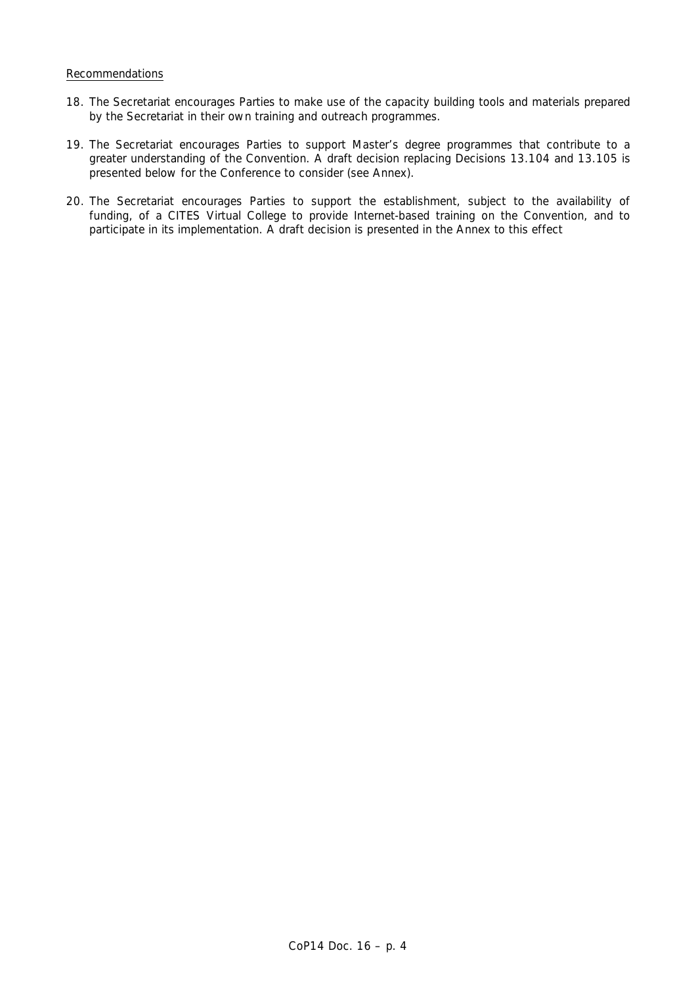### Recommendations

- 18. The Secretariat encourages Parties to make use of the capacity building tools and materials prepared by the Secretariat in their own training and outreach programmes.
- 19. The Secretariat encourages Parties to support Master's degree programmes that contribute to a greater understanding of the Convention. A draft decision replacing Decisions 13.104 and 13.105 is presented below for the Conference to consider (see Annex).
- 20. The Secretariat encourages Parties to support the establishment, subject to the availability of funding, of a CITES Virtual College to provide Internet-based training on the Convention, and to participate in its implementation. A draft decision is presented in the Annex to this effect